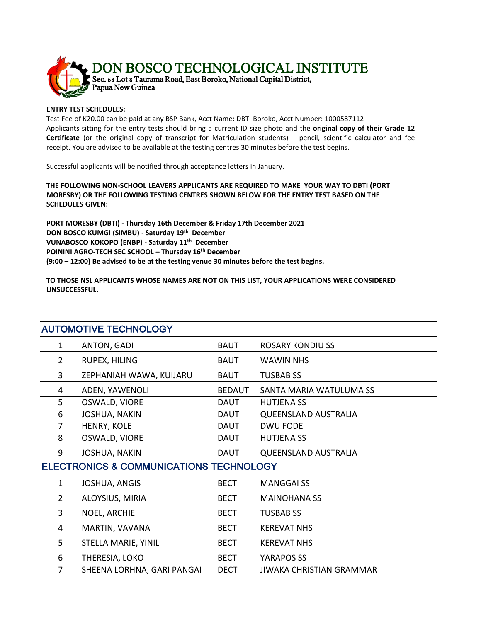

## **ENTRY TEST SCHEDULES:**

Test Fee of K20.00 can be paid at any BSP Bank, Acct Name: DBTI Boroko, Acct Number: 1000587112 Applicants sitting for the entry tests should bring a current ID size photo and the **original copy of their Grade 12 Certificate** (or the original copy of transcript for Matriculation students) – pencil, scientific calculator and fee receipt. You are advised to be available at the testing centres 30 minutes before the test begins.

Successful applicants will be notified through acceptance letters in January.

**THE FOLLOWING NON-SCHOOL LEAVERS APPLICANTS ARE REQUIRED TO MAKE YOUR WAY TO DBTI (PORT MORESBY) OR THE FOLLOWING TESTING CENTRES SHOWN BELOW FOR THE ENTRY TEST BASED ON THE SCHEDULES GIVEN:**

**PORT MORESBY (DBTI) - Thursday 16th December & Friday 17th December 2021 DON BOSCO KUMGI (SIMBU) - Saturday 19th December VUNABOSCO KOKOPO (ENBP) - Saturday 11th December POININI AGRO-TECH SEC SCHOOL – Thursday 16th December (9:00 – 12:00) Be advised to be at the testing venue 30 minutes before the test begins.**

**TO THOSE NSL APPLICANTS WHOSE NAMES ARE NOT ON THIS LIST, YOUR APPLICATIONS WERE CONSIDERED UNSUCCESSFUL.**

| <b>AUTOMOTIVE TECHNOLOGY</b>                       |                            |               |                                 |  |  |
|----------------------------------------------------|----------------------------|---------------|---------------------------------|--|--|
| $\mathbf{1}$                                       | ANTON, GADI                | <b>BAUT</b>   | <b>ROSARY KONDIUSS</b>          |  |  |
| $\overline{2}$                                     | RUPEX, HILING              | <b>BAUT</b>   | <b>WAWIN NHS</b>                |  |  |
| 3                                                  | ZEPHANIAH WAWA, KUIJARU    | <b>BAUT</b>   | <b>TUSBAB SS</b>                |  |  |
| 4                                                  | ADEN, YAWENOLI             | <b>BEDAUT</b> | SANTA MARIA WATULUMA SS         |  |  |
| 5                                                  | OSWALD, VIORE              | <b>DAUT</b>   | <b>HUTJENA SS</b>               |  |  |
| 6                                                  | <b>JOSHUA, NAKIN</b>       | <b>DAUT</b>   | <b>QUEENSLAND AUSTRALIA</b>     |  |  |
| $\overline{7}$                                     | HENRY, KOLE                | DAUT          | <b>DWU FODE</b>                 |  |  |
| 8                                                  | OSWALD, VIORE              | DAUT          | <b>HUTJENA SS</b>               |  |  |
| 9                                                  | JOSHUA, NAKIN              | <b>DAUT</b>   | <b>QUEENSLAND AUSTRALIA</b>     |  |  |
| <b>ELECTRONICS &amp; COMMUNICATIONS TECHNOLOGY</b> |                            |               |                                 |  |  |
| $\mathbf{1}$                                       | JOSHUA, ANGIS              | <b>BECT</b>   | <b>MANGGAI SS</b>               |  |  |
| $\overline{2}$                                     | ALOYSIUS, MIRIA            | <b>BECT</b>   | <b>MAINOHANA SS</b>             |  |  |
| 3                                                  | NOEL, ARCHIE               | <b>BECT</b>   | <b>TUSBAB SS</b>                |  |  |
| 4                                                  | MARTIN, VAVANA             | <b>BECT</b>   | <b>KEREVAT NHS</b>              |  |  |
| 5                                                  | STELLA MARIE, YINIL        | <b>BECT</b>   | <b>KEREVAT NHS</b>              |  |  |
| 6                                                  | THERESIA, LOKO             | <b>BECT</b>   | YARAPOS SS                      |  |  |
| $\overline{7}$                                     | SHEENA LORHNA, GARI PANGAI | <b>DECT</b>   | <b>JIWAKA CHRISTIAN GRAMMAR</b> |  |  |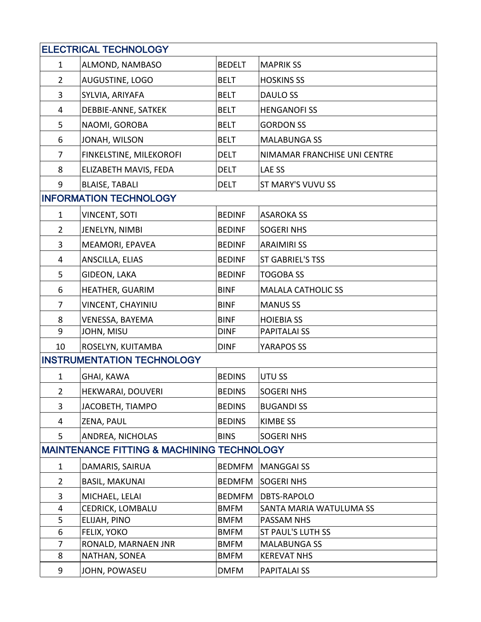| <b>ELECTRICAL TECHNOLOGY</b>                          |                                   |               |                              |  |  |  |
|-------------------------------------------------------|-----------------------------------|---------------|------------------------------|--|--|--|
| $\mathbf{1}$                                          | ALMOND, NAMBASO                   | <b>BEDELT</b> | <b>MAPRIK SS</b>             |  |  |  |
| $\overline{2}$                                        | AUGUSTINE, LOGO                   | <b>BELT</b>   | <b>HOSKINS SS</b>            |  |  |  |
| 3                                                     | SYLVIA, ARIYAFA                   | <b>BELT</b>   | DAULO SS                     |  |  |  |
| 4                                                     | DEBBIE-ANNE, SATKEK               | <b>BELT</b>   | <b>HENGANOFISS</b>           |  |  |  |
| 5                                                     | NAOMI, GOROBA                     | <b>BELT</b>   | <b>GORDON SS</b>             |  |  |  |
| 6                                                     | JONAH, WILSON                     | <b>BELT</b>   | <b>MALABUNGA SS</b>          |  |  |  |
| $\overline{7}$                                        | FINKELSTINE, MILEKOROFI           | <b>DELT</b>   | NIMAMAR FRANCHISE UNI CENTRE |  |  |  |
| 8                                                     | ELIZABETH MAVIS, FEDA             | <b>DELT</b>   | LAE SS                       |  |  |  |
| 9                                                     | <b>BLAISE, TABALI</b>             | <b>DELT</b>   | ST MARY'S VUVU SS            |  |  |  |
| <b>INFORMATION TECHNOLOGY</b>                         |                                   |               |                              |  |  |  |
| $\mathbf{1}$                                          | <b>VINCENT, SOTI</b>              | <b>BEDINF</b> | <b>ASAROKA SS</b>            |  |  |  |
| $\overline{2}$                                        | JENELYN, NIMBI                    | <b>BEDINF</b> | <b>SOGERI NHS</b>            |  |  |  |
| 3                                                     | MEAMORI, EPAVEA                   | <b>BEDINF</b> | <b>ARAIMIRISS</b>            |  |  |  |
| 4                                                     | ANSCILLA, ELIAS                   | <b>BEDINF</b> | ST GABRIEL'S TSS             |  |  |  |
| 5                                                     | GIDEON, LAKA                      | <b>BEDINF</b> | <b>TOGOBA SS</b>             |  |  |  |
| 6                                                     | HEATHER, GUARIM                   | <b>BINF</b>   | <b>MALALA CATHOLIC SS</b>    |  |  |  |
| $\overline{7}$                                        | VINCENT, CHAYINIU                 | <b>BINF</b>   | <b>MANUS SS</b>              |  |  |  |
| 8                                                     | VENESSA, BAYEMA                   | <b>BINF</b>   | <b>HOIEBIA SS</b>            |  |  |  |
| 9                                                     | JOHN, MISU                        | <b>DINF</b>   | <b>PAPITALAI SS</b>          |  |  |  |
| 10                                                    | ROSELYN, KUITAMBA                 | <b>DINF</b>   | YARAPOS SS                   |  |  |  |
|                                                       | <b>INSTRUMENTATION TECHNOLOGY</b> |               |                              |  |  |  |
| $\mathbf{1}$                                          | GHAI, KAWA                        | <b>BEDINS</b> | UTU SS                       |  |  |  |
| $\overline{2}$                                        | HEKWARAI, DOUVERI                 | <b>BEDINS</b> | <b>SOGERI NHS</b>            |  |  |  |
| 3                                                     | JACOBETH, TIAMPO                  | <b>BEDINS</b> | <b>BUGANDI SS</b>            |  |  |  |
| 4                                                     | ZENA, PAUL                        | <b>BEDINS</b> | <b>KIMBE SS</b>              |  |  |  |
| 5                                                     | ANDREA, NICHOLAS                  | <b>BINS</b>   | <b>SOGERI NHS</b>            |  |  |  |
| <b>MAINTENANCE FITTING &amp; MACHINING TECHNOLOGY</b> |                                   |               |                              |  |  |  |
| $\mathbf{1}$                                          | DAMARIS, SAIRUA                   | <b>BEDMFM</b> | <b>MANGGAI SS</b>            |  |  |  |
| $\overline{2}$                                        | <b>BASIL, MAKUNAI</b>             | <b>BEDMFM</b> | <b>SOGERI NHS</b>            |  |  |  |
| 3                                                     | MICHAEL, LELAI                    | <b>BEDMFM</b> | <b>DBTS-RAPOLO</b>           |  |  |  |
| 4                                                     | CEDRICK, LOMBALU                  | <b>BMFM</b>   | SANTA MARIA WATULUMA SS      |  |  |  |
| 5                                                     | ELIJAH, PINO                      | <b>BMFM</b>   | PASSAM NHS                   |  |  |  |
| 6                                                     | FELIX, YOKO                       | <b>BMFM</b>   | ST PAUL'S LUTH SS            |  |  |  |
| 7                                                     | RONALD, MARNAEN JNR               | <b>BMFM</b>   | <b>MALABUNGA SS</b>          |  |  |  |
| 8                                                     | NATHAN, SONEA                     | <b>BMFM</b>   | <b>KEREVAT NHS</b>           |  |  |  |
| 9                                                     | JOHN, POWASEU                     | <b>DMFM</b>   | <b>PAPITALAI SS</b>          |  |  |  |